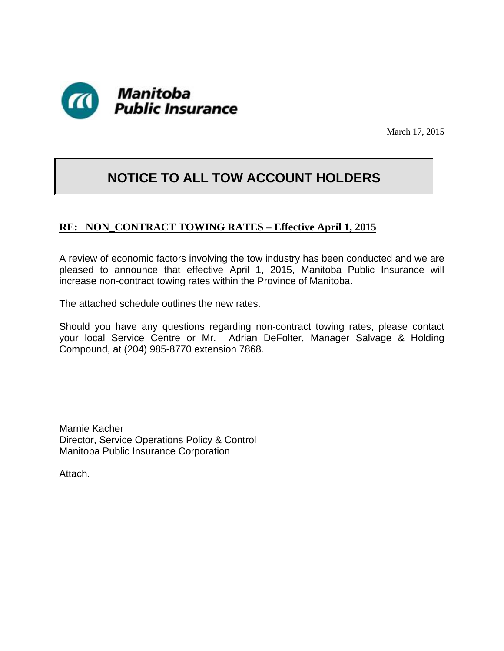

March 17, 2015

## **NOTICE TO ALL TOW ACCOUNT HOLDERS**

## **RE: NON\_CONTRACT TOWING RATES – Effective April 1, 2015**

A review of economic factors involving the tow industry has been conducted and we are pleased to announce that effective April 1, 2015, Manitoba Public Insurance will increase non-contract towing rates within the Province of Manitoba.

The attached schedule outlines the new rates.

Should you have any questions regarding non-contract towing rates, please contact your local Service Centre or Mr. Adrian DeFolter, Manager Salvage & Holding Compound, at (204) 985-8770 extension 7868.

Marnie Kacher Director, Service Operations Policy & Control Manitoba Public Insurance Corporation

\_\_\_\_\_\_\_\_\_\_\_\_\_\_\_\_\_\_\_\_\_\_

Attach.